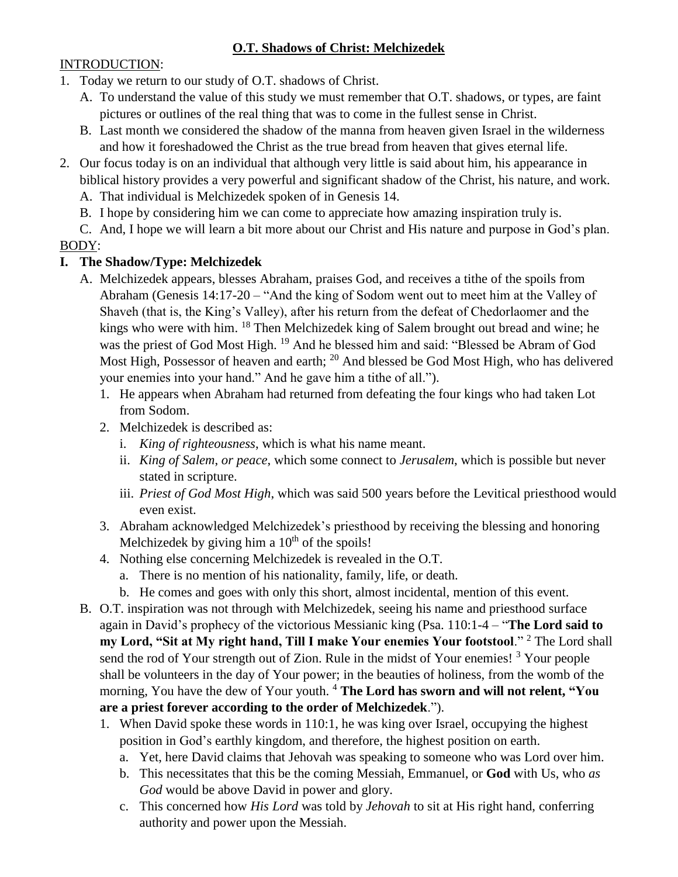## **O.T. Shadows of Christ: Melchizedek**

### INTRODUCTION:

- 1. Today we return to our study of O.T. shadows of Christ.
	- A. To understand the value of this study we must remember that O.T. shadows, or types, are faint pictures or outlines of the real thing that was to come in the fullest sense in Christ.
	- B. Last month we considered the shadow of the manna from heaven given Israel in the wilderness and how it foreshadowed the Christ as the true bread from heaven that gives eternal life.
- 2. Our focus today is on an individual that although very little is said about him, his appearance in biblical history provides a very powerful and significant shadow of the Christ, his nature, and work.
	- A. That individual is Melchizedek spoken of in Genesis 14.
	- B. I hope by considering him we can come to appreciate how amazing inspiration truly is.
- C. And, I hope we will learn a bit more about our Christ and His nature and purpose in God's plan. BODY:

# **I. The Shadow/Type: Melchizedek**

- A. Melchizedek appears, blesses Abraham, praises God, and receives a tithe of the spoils from Abraham (Genesis 14:17-20 – "And the king of Sodom went out to meet him at the Valley of Shaveh (that is, the King's Valley), after his return from the defeat of Chedorlaomer and the kings who were with him. <sup>18</sup> Then Melchizedek king of Salem brought out bread and wine; he was the priest of God Most High. <sup>19</sup> And he blessed him and said: "Blessed be Abram of God Most High, Possessor of heaven and earth; <sup>20</sup> And blessed be God Most High, who has delivered your enemies into your hand." And he gave him a tithe of all.").
	- 1. He appears when Abraham had returned from defeating the four kings who had taken Lot from Sodom.
	- 2. Melchizedek is described as:
		- i. *King of righteousness*, which is what his name meant.
		- ii. *King of Salem*, *or peace*, which some connect to *Jerusalem*, which is possible but never stated in scripture.
		- iii. *Priest of God Most High*, which was said 500 years before the Levitical priesthood would even exist.
	- 3. Abraham acknowledged Melchizedek's priesthood by receiving the blessing and honoring Melchizedek by giving him a  $10<sup>th</sup>$  of the spoils!
	- 4. Nothing else concerning Melchizedek is revealed in the O.T.
		- a. There is no mention of his nationality, family, life, or death.
		- b. He comes and goes with only this short, almost incidental, mention of this event.
- B. O.T. inspiration was not through with Melchizedek, seeing his name and priesthood surface again in David's prophecy of the victorious Messianic king (Psa. 110:1-4 – "**The Lord said to my Lord, "Sit at My right hand, Till I make Your enemies Your footstool**." <sup>2</sup> The Lord shall send the rod of Your strength out of Zion. Rule in the midst of Your enemies!<sup>3</sup> Your people shall be volunteers in the day of Your power; in the beauties of holiness, from the womb of the morning, You have the dew of Your youth. <sup>4</sup> **The Lord has sworn and will not relent, "You are a priest forever according to the order of Melchizedek**.").
	- 1. When David spoke these words in 110:1, he was king over Israel, occupying the highest position in God's earthly kingdom, and therefore, the highest position on earth.
		- a. Yet, here David claims that Jehovah was speaking to someone who was Lord over him.
		- b. This necessitates that this be the coming Messiah, Emmanuel, or **God** with Us, who *as God* would be above David in power and glory.
		- c. This concerned how *His Lord* was told by *Jehovah* to sit at His right hand, conferring authority and power upon the Messiah.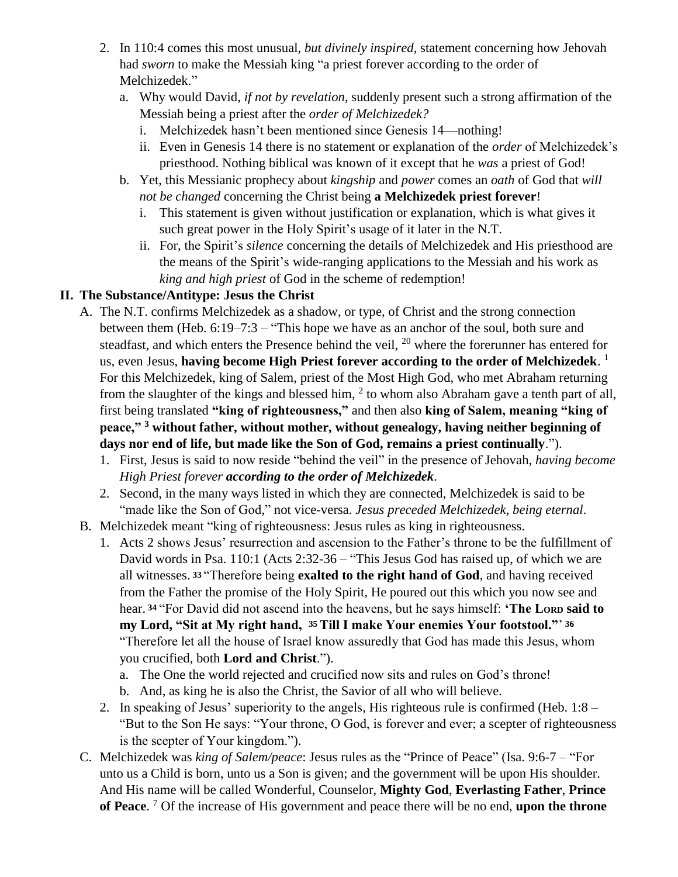- 2. In 110:4 comes this most unusual, *but divinely inspired*, statement concerning how Jehovah had *sworn* to make the Messiah king "a priest forever according to the order of Melchizedek."
	- a. Why would David, *if not by revelation*, suddenly present such a strong affirmation of the Messiah being a priest after the *order of Melchizedek?*
		- i. Melchizedek hasn't been mentioned since Genesis 14—nothing!
		- ii. Even in Genesis 14 there is no statement or explanation of the *order* of Melchizedek's priesthood. Nothing biblical was known of it except that he *was* a priest of God!
	- b. Yet, this Messianic prophecy about *kingship* and *power* comes an *oath* of God that *will not be changed* concerning the Christ being **a Melchizedek priest forever**!
		- i. This statement is given without justification or explanation, which is what gives it such great power in the Holy Spirit's usage of it later in the N.T.
		- ii. For, the Spirit's *silence* concerning the details of Melchizedek and His priesthood are the means of the Spirit's wide-ranging applications to the Messiah and his work as *king and high priest* of God in the scheme of redemption!

## **II. The Substance/Antitype: Jesus the Christ**

- A. The N.T. confirms Melchizedek as a shadow, or type, of Christ and the strong connection between them (Heb. 6:19–7:3 – "This hope we have as an anchor of the soul, both sure and steadfast, and which enters the Presence behind the veil,  $^{20}$  where the forerunner has entered for us, even Jesus, **having become High Priest forever according to the order of Melchizedek**. 1 For this Melchizedek, king of Salem, priest of the Most High God, who met Abraham returning from the slaughter of the kings and blessed him,  $2$  to whom also Abraham gave a tenth part of all, first being translated **"king of righteousness,"** and then also **king of Salem, meaning "king of peace," <sup>3</sup> without father, without mother, without genealogy, having neither beginning of days nor end of life, but made like the Son of God, remains a priest continually**.").
	- 1. First, Jesus is said to now reside "behind the veil" in the presence of Jehovah, *having become High Priest forever according to the order of Melchizedek*.
	- 2. Second, in the many ways listed in which they are connected, Melchizedek is said to be "made like the Son of God," not vice-versa. *Jesus preceded Melchizedek, being eternal*.
- B. Melchizedek meant "king of righteousness: Jesus rules as king in righteousness.
	- 1. Acts 2 shows Jesus' resurrection and ascension to the Father's throne to be the fulfillment of David words in Psa. 110:1 (Acts 2:32-36 – "This Jesus God has raised up, of which we are all witnesses. **<sup>33</sup>**"Therefore being **exalted to the right hand of God**, and having received from the Father the promise of the Holy Spirit, He poured out this which you now see and hear. **<sup>34</sup>**"For David did not ascend into the heavens, but he says himself: **'The LORD said to my Lord, "Sit at My right hand, 35 Till I make Your enemies Your footstool."**' **36**  "Therefore let all the house of Israel know assuredly that God has made this Jesus, whom you crucified, both **Lord and Christ**.").
		- a. The One the world rejected and crucified now sits and rules on God's throne!
		- b. And, as king he is also the Christ, the Savior of all who will believe.
	- 2. In speaking of Jesus' superiority to the angels, His righteous rule is confirmed (Heb. 1:8 "But to the Son He says: "Your throne, O God, is forever and ever; a scepter of righteousness is the scepter of Your kingdom.").
- C. Melchizedek was *king of Salem/peace*: Jesus rules as the "Prince of Peace" (Isa. 9:6-7 "For unto us a Child is born, unto us a Son is given; and the government will be upon His shoulder. And His name will be called Wonderful, Counselor, **Mighty God**, **Everlasting Father**, **Prince of Peace**. <sup>7</sup> Of the increase of His government and peace there will be no end, **upon the throne**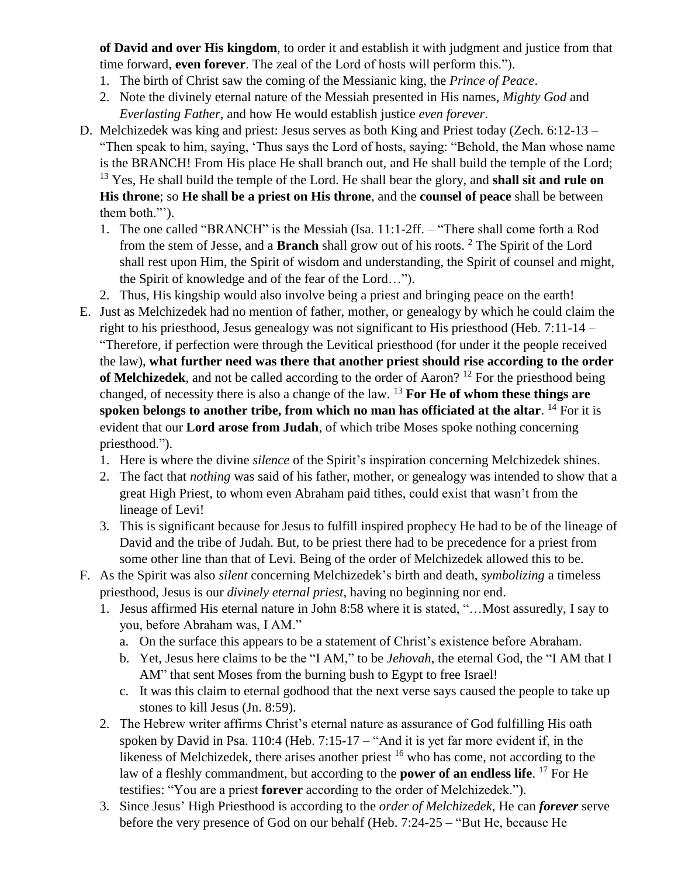**of David and over His kingdom**, to order it and establish it with judgment and justice from that time forward, **even forever**. The zeal of the Lord of hosts will perform this.").

- 1. The birth of Christ saw the coming of the Messianic king, the *Prince of Peace*.
- 2. Note the divinely eternal nature of the Messiah presented in His names, *Mighty God* and *Everlasting Father*, and how He would establish justice *even forever*.
- D. Melchizedek was king and priest: Jesus serves as both King and Priest today (Zech. 6:12-13 "Then speak to him, saying, 'Thus says the Lord of hosts, saying: "Behold, the Man whose name is the BRANCH! From His place He shall branch out, and He shall build the temple of the Lord; <sup>13</sup> Yes, He shall build the temple of the Lord. He shall bear the glory, and **shall sit and rule on His throne**; so **He shall be a priest on His throne**, and the **counsel of peace** shall be between them both."').
	- 1. The one called "BRANCH" is the Messiah (Isa. 11:1-2ff. "There shall come forth a Rod from the stem of Jesse, and a **Branch** shall grow out of his roots. <sup>2</sup> The Spirit of the Lord shall rest upon Him, the Spirit of wisdom and understanding, the Spirit of counsel and might, the Spirit of knowledge and of the fear of the Lord…").
	- 2. Thus, His kingship would also involve being a priest and bringing peace on the earth!
- E. Just as Melchizedek had no mention of father, mother, or genealogy by which he could claim the right to his priesthood, Jesus genealogy was not significant to His priesthood (Heb. 7:11-14 – "Therefore, if perfection were through the Levitical priesthood (for under it the people received the law), **what further need was there that another priest should rise according to the order of Melchizedek**, and not be called according to the order of Aaron?<sup>12</sup> For the priesthood being changed, of necessity there is also a change of the law. <sup>13</sup> **For He of whom these things are spoken belongs to another tribe, from which no man has officiated at the altar**. <sup>14</sup> For it is evident that our **Lord arose from Judah**, of which tribe Moses spoke nothing concerning priesthood.").
	- 1. Here is where the divine *silence* of the Spirit's inspiration concerning Melchizedek shines.
	- 2. The fact that *nothing* was said of his father, mother, or genealogy was intended to show that a great High Priest, to whom even Abraham paid tithes, could exist that wasn't from the lineage of Levi!
	- 3. This is significant because for Jesus to fulfill inspired prophecy He had to be of the lineage of David and the tribe of Judah. But, to be priest there had to be precedence for a priest from some other line than that of Levi. Being of the order of Melchizedek allowed this to be.
- F. As the Spirit was also *silent* concerning Melchizedek's birth and death, *symbolizing* a timeless priesthood, Jesus is our *divinely eternal priest*, having no beginning nor end.
	- 1. Jesus affirmed His eternal nature in John 8:58 where it is stated, "…Most assuredly, I say to you, before Abraham was, I AM."
		- a. On the surface this appears to be a statement of Christ's existence before Abraham.
		- b. Yet, Jesus here claims to be the "I AM," to be *Jehovah*, the eternal God, the "I AM that I AM" that sent Moses from the burning bush to Egypt to free Israel!
		- c. It was this claim to eternal godhood that the next verse says caused the people to take up stones to kill Jesus (Jn. 8:59).
	- 2. The Hebrew writer affirms Christ's eternal nature as assurance of God fulfilling His oath spoken by David in Psa. 110:4 (Heb. 7:15-17 – "And it is yet far more evident if, in the likeness of Melchizedek, there arises another priest  $16$  who has come, not according to the law of a fleshly commandment, but according to the **power of an endless life**. <sup>17</sup> For He testifies: "You are a priest **forever** according to the order of Melchizedek.").
	- 3. Since Jesus' High Priesthood is according to the *order of Melchizedek*, He can *forever* serve before the very presence of God on our behalf (Heb. 7:24-25 – "But He, because He